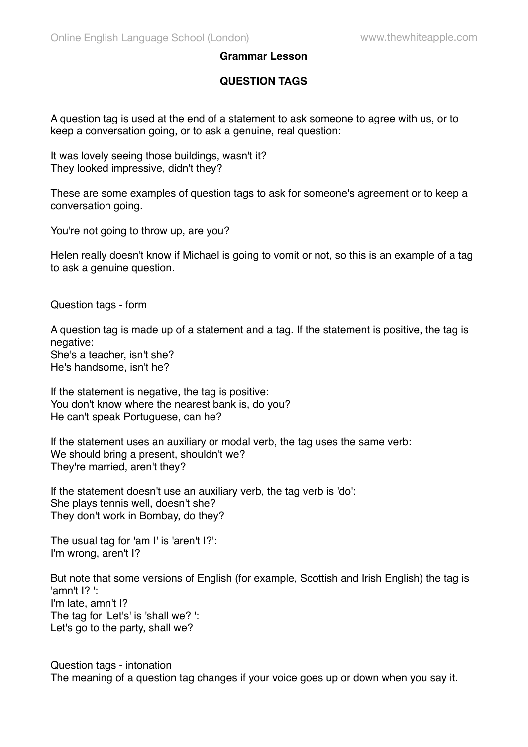## **Grammar Lesson**

## **QUESTION TAGS**

A question tag is used at the end of a statement to ask someone to agree with us, or to keep a conversation going, or to ask a genuine, real question:

It was lovely seeing those buildings, wasn't it? They looked impressive, didn't they?

These are some examples of question tags to ask for someone's agreement or to keep a conversation going.

You're not going to throw up, are you?

Helen really doesn't know if Michael is going to vomit or not, so this is an example of a tag to ask a genuine question.

Question tags - form

A question tag is made up of a statement and a tag. If the statement is positive, the tag is negative: She's a teacher, isn't she? He's handsome, isn't he?

If the statement is negative, the tag is positive: You don't know where the nearest bank is, do you? He can't speak Portuguese, can he?

If the statement uses an auxiliary or modal verb, the tag uses the same verb: We should bring a present, shouldn't we? They're married, aren't they?

If the statement doesn't use an auxiliary verb, the tag verb is 'do': She plays tennis well, doesn't she? They don't work in Bombay, do they?

The usual tag for 'am I' is 'aren't I?': I'm wrong, aren't I?

But note that some versions of English (for example, Scottish and Irish English) the tag is 'amn't I? ': I'm late, amn't I? The tag for 'Let's' is 'shall we? ': Let's go to the party, shall we?

Question tags - intonation The meaning of a question tag changes if your voice goes up or down when you say it.